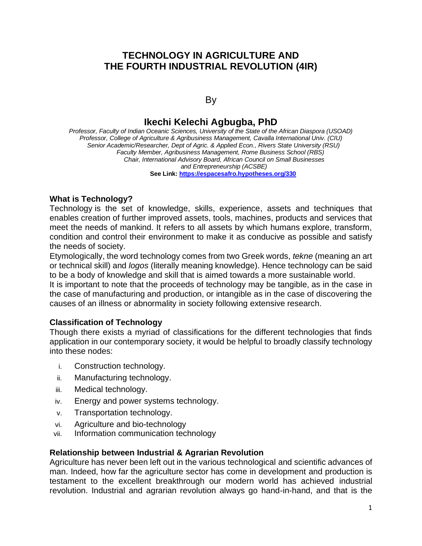# **TECHNOLOGY IN AGRICULTURE AND THE FOURTH INDUSTRIAL REVOLUTION (4IR)**

### By

# **Ikechi Kelechi Agbugba, PhD**

*Professor, Faculty of Indian Oceanic Sciences, University of the State of the African Diaspora (USOAD) Professor, College of Agriculture & Agribusiness Management, Cavalla International Univ. (CIU) Senior Academic/Researcher, Dept of Agric. & Applied Econ., Rivers State University (RSU) Faculty Member, Agribusiness Management, Rome Business School (RBS) Chair, International Advisory Board, African Council on Small Businesses and Entrepreneurship (ACSBE)*  **See Link:<https://espacesafro.hypotheses.org/330>**

#### **What is Technology?**

Technology is the set of knowledge, skills, experience, assets and techniques that enables creation of further improved assets, tools, machines, products and services that meet the needs of mankind. It refers to all assets by which humans explore, transform, condition and control their environment to make it as conducive as possible and satisfy the needs of society.

Etymologically, the word technology comes from two Greek words, *tekne* (meaning an art or technical skill) and *logos* (literally meaning knowledge). Hence technology can be said to be a body of knowledge and skill that is aimed towards a more sustainable world.

It is important to note that the proceeds of technology may be tangible, as in the case in the case of manufacturing and production, or intangible as in the case of discovering the causes of an illness or abnormality in society following extensive research.

### **Classification of Technology**

Though there exists a myriad of classifications for the different technologies that finds application in our contemporary society, it would be helpful to broadly classify technology into these nodes:

- i. Construction technology.
- ii. Manufacturing technology.
- iii. Medical technology.
- iv. Energy and power systems technology.
- v. Transportation technology.
- vi. Agriculture and bio-technology
- vii. Information communication technology

### **Relationship between Industrial & Agrarian Revolution**

Agriculture has never been left out in the various technological and scientific advances of man. Indeed, how far the agriculture sector has come in development and production is testament to the excellent breakthrough our modern world has achieved industrial revolution. Industrial and agrarian revolution always go hand-in-hand, and that is the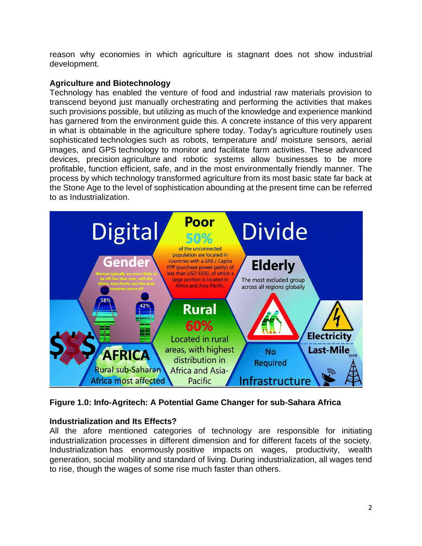reason why economies in which agriculture is stagnant does not show industrial development.

### **Agriculture and Biotechnology**

Technology has enabled the venture of food and industrial raw materials provision to transcend beyond just manually orchestrating and performing the activities that makes such provisions possible, but utilizing as much of the knowledge and experience mankind has garnered from the environment guide this. A concrete instance of this very apparent in what is obtainable in the agriculture sphere today. Today's agriculture routinely uses sophisticated technologies such as robots, temperature and/ moisture sensors, aerial images, and GPS technology to monitor and facilitate farm activities. These advanced devices, precision agriculture and robotic systems allow businesses to be more profitable, function efficient, safe, and in the most environmentally friendly manner. The process by which technology transformed agriculture from its most basic state far back at the Stone Age to the level of sophistication abounding at the present time can be referred to as Industrialization.



**Figure 1.0: Info-Agritech: A Potential Game Changer for sub-Sahara Africa**

### **Industrialization and Its Effects?**

All the afore mentioned categories of technology are responsible for initiating industrialization processes in different dimension and for different facets of the society. Industrialization has enormously positive impacts on wages, productivity, wealth generation, social mobility and standard of living. During industrialization, all wages tend to rise, though the wages of some rise much faster than others.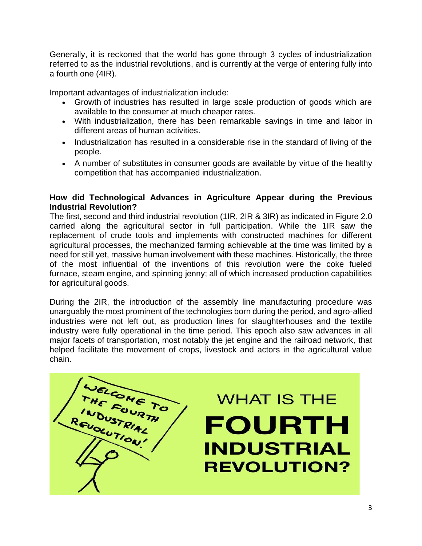Generally, it is reckoned that the world has gone through 3 cycles of industrialization referred to as the industrial revolutions, and is currently at the verge of entering fully into a fourth one (4IR).

Important advantages of industrialization include:

- Growth of industries has resulted in large scale production of goods which are available to the consumer at much cheaper rates.
- With industrialization, there has been remarkable savings in time and labor in different areas of human activities.
- Industrialization has resulted in a considerable rise in the standard of living of the people.
- A number of substitutes in consumer goods are available by virtue of the healthy competition that has accompanied industrialization.

### **How did Technological Advances in Agriculture Appear during the Previous Industrial Revolution?**

The first, second and third industrial revolution (1IR, 2IR & 3IR) as indicated in Figure 2.0 carried along the agricultural sector in full participation. While the 1IR saw the replacement of crude tools and implements with constructed machines for different agricultural processes, the mechanized farming achievable at the time was limited by a need for still yet, massive human involvement with these machines. Historically, the three of the most influential of the inventions of this revolution were the coke fueled furnace, steam engine, and spinning jenny; all of which increased production capabilities for agricultural goods.

During the 2IR, the introduction of the assembly line manufacturing procedure was unarguably the most prominent of the technologies born during the period, and agro-allied industries were not left out, as production lines for slaughterhouses and the textile industry were fully operational in the time period. This epoch also saw advances in all major facets of transportation, most notably the jet engine and the railroad network, that helped facilitate the movement of crops, livestock and actors in the agricultural value chain.

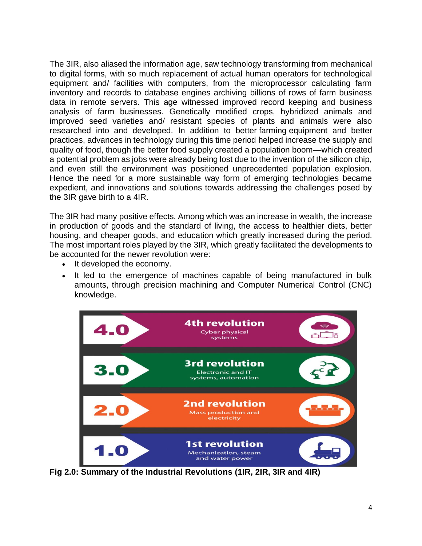The 3IR, also aliased the information age, saw technology transforming from mechanical to digital forms, with so much replacement of actual human operators for technological equipment and/ facilities with computers, from the microprocessor calculating farm inventory and records to database engines archiving billions of rows of farm business data in remote servers. This age witnessed improved record keeping and business analysis of farm businesses. Genetically modified crops, hybridized animals and improved seed varieties and/ resistant species of plants and animals were also researched into and developed. In addition to better farming equipment and better practices, advances in technology during this time period helped increase the supply and quality of food, though the better food supply created a population boom—which created a potential problem as jobs were already being lost due to the invention of the silicon chip, and even still the environment was positioned unprecedented population explosion. Hence the need for a more sustainable way form of emerging technologies became expedient, and innovations and solutions towards addressing the challenges posed by the 3IR gave birth to a 4IR.

The 3IR had many positive effects. Among which was an increase in wealth, the increase in production of goods and the standard of living, the access to healthier diets, better housing, and cheaper goods, and education which greatly increased during the period. The most important roles played by the 3IR, which greatly facilitated the developments to be accounted for the newer revolution were:

- It developed the economy.
- It led to the emergence of machines capable of being manufactured in bulk amounts, through precision machining and Computer Numerical Control (CNC) knowledge.



**Fig 2.0: Summary of the Industrial Revolutions (1IR, 2IR, 3IR and 4IR)**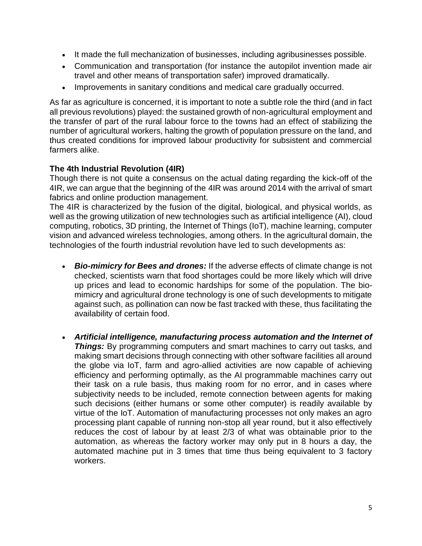- It made the full mechanization of businesses, including agribusinesses possible.
- Communication and transportation (for instance the autopilot invention made air travel and other means of transportation safer) improved dramatically.
- Improvements in sanitary conditions and medical care gradually occurred.

As far as agriculture is concerned, it is important to note a subtle role the third (and in fact all previous revolutions) played: the sustained growth of non-agricultural employment and the transfer of part of the rural labour force to the towns had an effect of stabilizing the number of agricultural workers, halting the growth of population pressure on the land, and thus created conditions for improved labour productivity for subsistent and commercial farmers alike.

# **The 4th Industrial Revolution (4IR)**

Though there is not quite a consensus on the actual dating regarding the kick-off of the 4IR, we can argue that the beginning of the 4IR was around 2014 with the arrival of smart fabrics and online production management.

The 4IR is characterized by the fusion of the digital, biological, and physical worlds, as well as the growing utilization of new technologies such as artificial intelligence (AI), cloud computing, robotics, 3D printing, the Internet of Things (IoT), machine learning, computer vision and advanced wireless technologies, among others. In the agricultural domain, the technologies of the fourth industrial revolution have led to such developments as:

- *Bio-mimicry for Bees and drones:* If the adverse effects of climate change is not checked, scientists warn that food shortages could be more likely which will drive up prices and lead to economic hardships for some of the population. The biomimicry and agricultural drone technology is one of such developments to mitigate against such, as pollination can now be fast tracked with these, thus facilitating the availability of certain food.
- *Artificial intelligence, manufacturing process automation and the Internet of*  **Things:** By programming computers and smart machines to carry out tasks, and making smart decisions through connecting with other software facilities all around the globe via IoT, farm and agro-allied activities are now capable of achieving efficiency and performing optimally, as the AI programmable machines carry out their task on a rule basis, thus making room for no error, and in cases where subjectivity needs to be included, remote connection between agents for making such decisions (either humans or some other computer) is readily available by virtue of the IoT. Automation of manufacturing processes not only makes an agro processing plant capable of running non-stop all year round, but it also effectively reduces the cost of labour by at least 2/3 of what was obtainable prior to the automation, as whereas the factory worker may only put in 8 hours a day, the automated machine put in 3 times that time thus being equivalent to 3 factory workers.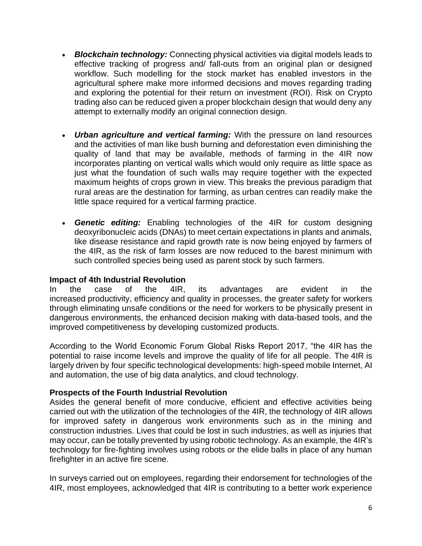- *Blockchain technology:* Connecting physical activities via digital models leads to effective tracking of progress and/ fall-outs from an original plan or designed workflow. Such modelling for the stock market has enabled investors in the agricultural sphere make more informed decisions and moves regarding trading and exploring the potential for their return on investment (ROI). Risk on Crypto trading also can be reduced given a proper blockchain design that would deny any attempt to externally modify an original connection design.
- *Urban agriculture and vertical farming:* With the pressure on land resources and the activities of man like bush burning and deforestation even diminishing the quality of land that may be available, methods of farming in the 4IR now incorporates planting on vertical walls which would only require as little space as just what the foundation of such walls may require together with the expected maximum heights of crops grown in view. This breaks the previous paradigm that rural areas are the destination for farming, as urban centres can readily make the little space required for a vertical farming practice.
- *Genetic editing:* Enabling technologies of the 4IR for custom designing deoxyribonucleic acids (DNAs) to meet certain expectations in plants and animals, like disease resistance and rapid growth rate is now being enjoyed by farmers of the 4IR, as the risk of farm losses are now reduced to the barest minimum with such controlled species being used as parent stock by such farmers.

### **Impact of 4th Industrial Revolution**

In the case of the 4IR, its advantages are evident in the increased productivity, efficiency and quality in processes, the greater safety for workers through eliminating unsafe conditions or the need for workers to be physically present in dangerous environments, the enhanced decision making with data-based tools, and the improved competitiveness by developing customized products.

According to the World Economic Forum Global Risks Report 2017, "the 4IR has the potential to raise income levels and improve the quality of life for all people. The 4IR is largely driven by four specific technological developments: high-speed mobile Internet, AI and automation, the use of big data analytics, and cloud technology.

### **Prospects of the Fourth Industrial Revolution**

Asides the general benefit of more conducive, efficient and effective activities being carried out with the utilization of the technologies of the 4IR, the technology of 4IR allows for improved safety in dangerous work environments such as in the mining and construction industries. Lives that could be lost in such industries, as well as injuries that may occur, can be totally prevented by using robotic technology. As an example, the 4IR's technology for fire-fighting involves using robots or the elide balls in place of any human firefighter in an active fire scene.

In surveys carried out on employees, regarding their endorsement for technologies of the 4IR, most employees, acknowledged that 4IR is contributing to a better work experience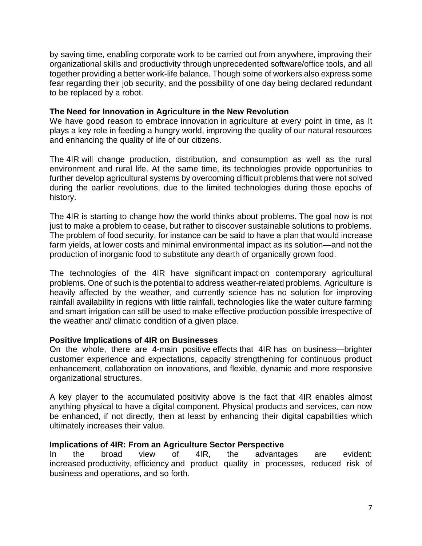by saving time, enabling corporate work to be carried out from anywhere, improving their organizational skills and productivity through unprecedented software/office tools, and all together providing a better work-life balance. Though some of workers also express some fear regarding their job security, and the possibility of one day being declared redundant to be replaced by a robot.

#### **The Need for Innovation in Agriculture in the New Revolution**

We have good reason to embrace innovation in agriculture at every point in time, as It plays a key role in feeding a hungry world, improving the quality of our natural resources and enhancing the quality of life of our citizens.

The 4IR will change production, distribution, and consumption as well as the rural environment and rural life. At the same time, its technologies provide opportunities to further develop agricultural systems by overcoming difficult problems that were not solved during the earlier revolutions, due to the limited technologies during those epochs of history.

The 4IR is starting to change how the world thinks about problems. The goal now is not just to make a problem to cease, but rather to discover sustainable solutions to problems. The problem of food security, for instance can be said to have a plan that would increase farm yields, at lower costs and minimal environmental impact as its solution—and not the production of inorganic food to substitute any dearth of organically grown food.

The technologies of the 4IR have significant impact on contemporary agricultural problems. One of such is the potential to address weather-related problems. Agriculture is heavily affected by the weather, and currently science has no solution for improving rainfall availability in regions with little rainfall, technologies like the water culture farming and smart irrigation can still be used to make effective production possible irrespective of the weather and/ climatic condition of a given place.

### **Positive Implications of 4IR on Businesses**

On the whole, there are 4-main positive effects that 4IR has on business—brighter customer experience and expectations, capacity strengthening for continuous product enhancement, collaboration on innovations, and flexible, dynamic and more responsive organizational structures.

A key player to the accumulated positivity above is the fact that 4IR enables almost anything physical to have a digital component. Physical products and services, can now be enhanced, if not directly, then at least by enhancing their digital capabilities which ultimately increases their value.

#### **Implications of 4IR: From an Agriculture Sector Perspective**

In the broad view of 4IR, the advantages are evident: increased productivity, efficiency and product quality in processes, reduced risk of business and operations, and so forth.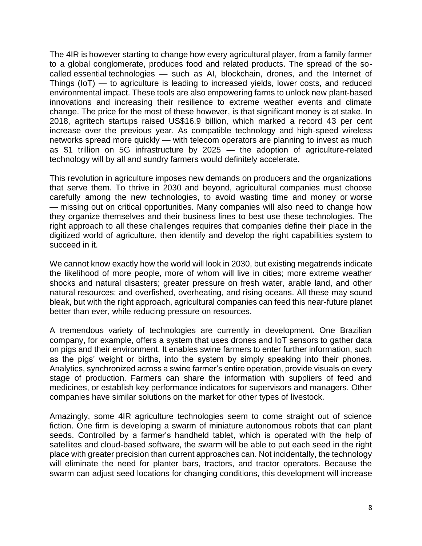The 4IR is however starting to change how every agricultural player, from a family farmer to a global conglomerate, produces food and related products. The spread of the socalled essential technologies — such as AI, blockchain, drones, and the Internet of Things (IoT) — to agriculture is leading to increased yields, lower costs, and reduced environmental impact. These tools are also empowering farms to unlock new plant-based innovations and increasing their resilience to extreme weather events and climate change. The price for the most of these however, is that significant money is at stake. In 2018, agritech startups raised US\$16.9 billion, which marked a record 43 per cent increase over the previous year. As compatible technology and high-speed wireless networks spread more quickly — with telecom operators are planning to invest as much as \$1 trillion on 5G infrastructure by 2025 — the adoption of agriculture-related technology will by all and sundry farmers would definitely accelerate.

This revolution in agriculture imposes new demands on producers and the organizations that serve them. To thrive in 2030 and beyond, agricultural companies must choose carefully among the new technologies, to avoid wasting time and money or worse — missing out on critical opportunities. Many companies will also need to change how they organize themselves and their business lines to best use these technologies. The right approach to all these challenges requires that companies define their place in the digitized world of agriculture, then identify and develop the right capabilities system to succeed in it.

We cannot know exactly how the world will look in 2030, but existing megatrends indicate the likelihood of more people, more of whom will live in cities; more extreme weather shocks and natural disasters; greater pressure on fresh water, arable land, and other natural resources; and overfished, overheating, and rising oceans. All these may sound bleak, but with the right approach, agricultural companies can feed this near-future planet better than ever, while reducing pressure on resources.

A tremendous variety of technologies are currently in development. One Brazilian company, for example, offers a system that uses drones and IoT sensors to gather data on pigs and their environment. It enables swine farmers to enter further information, such as the pigs' weight or births, into the system by simply speaking into their phones. Analytics, synchronized across a swine farmer's entire operation, provide visuals on every stage of production. Farmers can share the information with suppliers of feed and medicines, or establish key performance indicators for supervisors and managers. Other companies have similar solutions on the market for other types of livestock.

Amazingly, some 4IR agriculture technologies seem to come straight out of science fiction. One firm is developing a swarm of miniature autonomous robots that can plant seeds. Controlled by a farmer's handheld tablet, which is operated with the help of satellites and cloud-based software, the swarm will be able to put each seed in the right place with greater precision than current approaches can. Not incidentally, the technology will eliminate the need for planter bars, tractors, and tractor operators. Because the swarm can adjust seed locations for changing conditions, this development will increase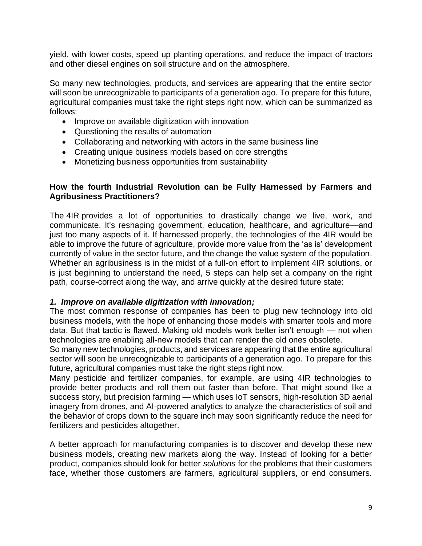yield, with lower costs, speed up planting operations, and reduce the impact of tractors and other diesel engines on soil structure and on the atmosphere.

So many new technologies, products, and services are appearing that the entire sector will soon be unrecognizable to participants of a generation ago. To prepare for this future, agricultural companies must take the right steps right now, which can be summarized as follows:

- Improve on available digitization with innovation
- Questioning the results of automation
- Collaborating and networking with actors in the same business line
- Creating unique business models based on core strengths
- Monetizing business opportunities from sustainability

### **How the fourth Industrial Revolution can be Fully Harnessed by Farmers and Agribusiness Practitioners?**

The 4IR provides a lot of opportunities to drastically change we live, work, and communicate. It's reshaping government, education, healthcare, and agriculture—and just too many aspects of it. If harnessed properly, the technologies of the 4IR would be able to improve the future of agriculture, provide more value from the 'as is' development currently of value in the sector future, and the change the value system of the population. Whether an agribusiness is in the midst of a full-on effort to implement 4IR solutions, or is just beginning to understand the need, 5 steps can help set a company on the right path, course-correct along the way, and arrive quickly at the desired future state:

### *1. Improve on available digitization with innovation;*

The most common response of companies has been to plug new technology into old business models, with the hope of enhancing those models with smarter tools and more data. But that tactic is flawed. Making old models work better isn't enough — not when technologies are enabling all-new models that can render the old ones obsolete.

So many new technologies, products, and services are appearing that the entire agricultural sector will soon be unrecognizable to participants of a generation ago. To prepare for this future, agricultural companies must take the right steps right now.

Many pesticide and fertilizer companies, for example, are using 4IR technologies to provide better products and roll them out faster than before. That might sound like a success story, but precision farming — which uses IoT sensors, high-resolution 3D aerial imagery from drones, and AI-powered analytics to analyze the characteristics of soil and the behavior of crops down to the square inch may soon significantly reduce the need for fertilizers and pesticides altogether.

A better approach for manufacturing companies is to discover and develop these new business models, creating new markets along the way. Instead of looking for a better product, companies should look for better *solutions* for the problems that their customers face, whether those customers are farmers, agricultural suppliers, or end consumers.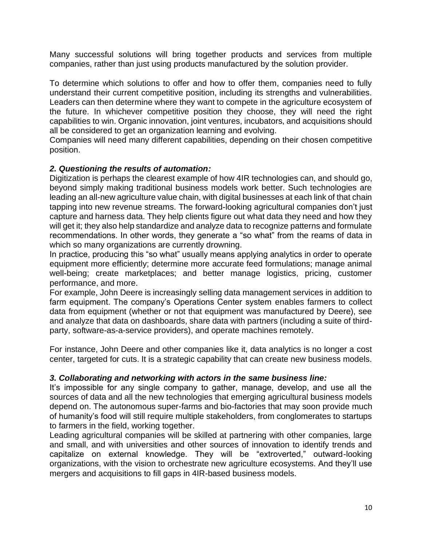Many successful solutions will bring together products and services from multiple companies, rather than just using products manufactured by the solution provider.

To determine which solutions to offer and how to offer them, companies need to fully understand their current competitive position, including its strengths and vulnerabilities. Leaders can then determine where they want to compete in the agriculture ecosystem of the future. In whichever competitive position they choose, they will need the right capabilities to win. Organic innovation, joint ventures, incubators, and acquisitions should all be considered to get an organization learning and evolving.

Companies will need many different capabilities, depending on their chosen competitive position.

### *2. Questioning the results of automation:*

Digitization is perhaps the clearest example of how 4IR technologies can, and should go, beyond simply making traditional business models work better. Such technologies are leading an all-new agriculture value chain, with digital businesses at each link of that chain tapping into new revenue streams. The forward-looking agricultural companies don't just capture and harness data. They help clients figure out what data they need and how they will get it; they also help standardize and analyze data to recognize patterns and formulate recommendations. In other words, they generate a "so what" from the reams of data in which so many organizations are currently drowning.

In practice, producing this "so what" usually means applying analytics in order to operate equipment more efficiently; determine more accurate feed formulations; manage animal well-being; create marketplaces; and better manage logistics, pricing, customer performance, and more.

For example, John Deere is increasingly selling data management services in addition to farm equipment. The company's Operations Center system enables farmers to collect data from equipment (whether or not that equipment was manufactured by Deere), see and analyze that data on dashboards, share data with partners (including a suite of thirdparty, software-as-a-service providers), and operate machines remotely.

For instance, John Deere and other companies like it, data analytics is no longer a cost center, targeted for cuts. It is a strategic capability that can create new business models.

### *3. Collaborating and networking with actors in the same business line:*

It's impossible for any single company to gather, manage, develop, and use all the sources of data and all the new technologies that emerging agricultural business models depend on. The autonomous super-farms and bio-factories that may soon provide much of humanity's food will still require multiple stakeholders, from conglomerates to startups to farmers in the field, working together.

Leading agricultural companies will be skilled at partnering with other companies, large and small, and with universities and other sources of innovation to identify trends and capitalize on external knowledge. They will be "extroverted," outward-looking organizations, with the vision to orchestrate new agriculture ecosystems. And they'll use mergers and acquisitions to fill gaps in 4IR-based business models.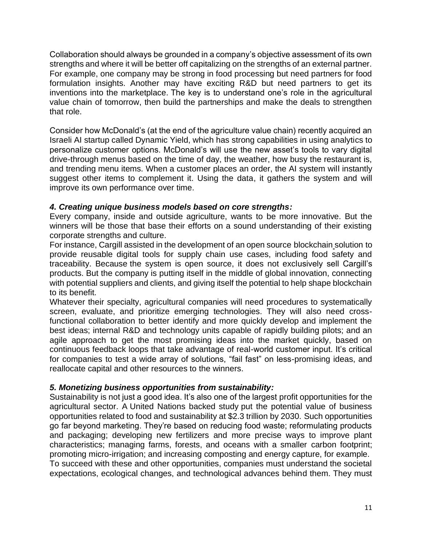Collaboration should always be grounded in a company's objective assessment of its own strengths and where it will be better off capitalizing on the strengths of an external partner. For example, one company may be strong in food processing but need partners for food formulation insights. Another may have exciting R&D but need partners to get its inventions into the marketplace. The key is to understand one's role in the agricultural value chain of tomorrow, then build the partnerships and make the deals to strengthen that role.

Consider how McDonald's (at the end of the agriculture value chain) recently acquired an Israeli AI startup called Dynamic Yield, which has strong capabilities in using analytics to personalize customer options. McDonald's will use the new asset's tools to vary digital drive-through menus based on the time of day, the weather, how busy the restaurant is, and trending menu items. When a customer places an order, the AI system will instantly suggest other items to complement it. Using the data, it gathers the system and will improve its own performance over time.

### *4. Creating unique business models based on core strengths:*

Every company, inside and outside agriculture, wants to be more innovative. But the winners will be those that base their efforts on a sound understanding of their existing corporate strengths and culture.

For instance, Cargill assisted in the development of an open source [blockchain](https://www.cargill.com/2019/cargill-invests-digital-engineering-to-support-hyperledger-grid) solution to provide reusable digital tools for supply chain use cases, including food safety and traceability. Because the system is open source, it does not exclusively sell Cargill's products. But the company is putting itself in the middle of global innovation, connecting with potential suppliers and clients, and giving itself the potential to help shape blockchain to its benefit.

Whatever their specialty, agricultural companies will need procedures to systematically screen, evaluate, and prioritize emerging technologies. They will also need crossfunctional collaboration to better identify and more quickly develop and implement the best ideas; internal R&D and technology units capable of rapidly building pilots; and an agile approach to get the most promising ideas into the market quickly, based on continuous feedback loops that take advantage of real-world customer input. It's critical for companies to test a wide array of solutions, "fail fast" on less-promising ideas, and reallocate capital and other resources to the winners.

### *5. Monetizing business opportunities from sustainability:*

Sustainability is not just a good idea. It's also one of the largest profit opportunities for the agricultural sector. A United [Nations](http://report.businesscommission.org/) backed study put the potential value of business opportunities related to food and sustainability at \$2.3 trillion by 2030. Such opportunities go far beyond marketing. They're based on reducing food waste; reformulating products and packaging; developing new fertilizers and more precise ways to improve plant characteristics; managing farms, forests, and oceans with a smaller carbon footprint; promoting micro-irrigation; and increasing composting and energy capture, for example. To succeed with these and other opportunities, companies must understand the societal expectations, ecological changes, and technological advances behind them. They must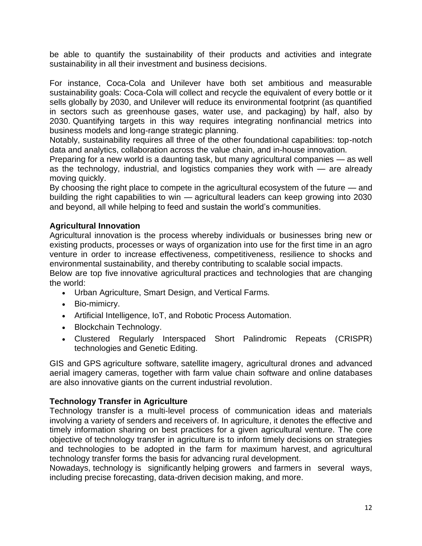be able to quantify the sustainability of their products and activities and integrate sustainability in all their investment and business decisions.

For instance, Coca-Cola and Unilever have both set ambitious and measurable sustainability goals: Coca-Cola will collect and recycle the equivalent of every bottle or it sells globally by 2030, and Unilever will reduce its environmental footprint (as quantified in sectors such as greenhouse gases, water use, and packaging) by half, also by 2030. Quantifying targets in this way requires integrating nonfinancial metrics into business models and long-range strategic planning.

Notably, sustainability requires all three of the other foundational capabilities: top-notch data and analytics, collaboration across the value chain, and in-house innovation.

Preparing for a new world is a daunting task, but many agricultural companies — as well as the technology, industrial, and logistics companies they work with — are already moving quickly.

By choosing the right place to compete in the agricultural ecosystem of the future — and building the right capabilities to win — agricultural leaders can keep growing into 2030 and beyond, all while helping to feed and sustain the world's communities.

# **Agricultural Innovation**

Agricultural innovation is the process whereby individuals or businesses bring new or existing products, processes or ways of organization into use for the first time in an agro venture in order to increase effectiveness, competitiveness, resilience to shocks and environmental sustainability, and thereby contributing to scalable social impacts.

Below are top five innovative agricultural practices and technologies that are changing the world:

- Urban Agriculture, Smart Design, and Vertical Farms.
- Bio-mimicry.
- Artificial Intelligence, IoT, and Robotic Process Automation.
- Blockchain Technology.
- Clustered Regularly Interspaced Short Palindromic Repeats (CRISPR) technologies and Genetic Editing.

GIS and GPS agriculture software, satellite imagery, agricultural drones and advanced aerial imagery cameras, together with farm value chain software and online databases are also innovative giants on the current industrial revolution.

### **Technology Transfer in Agriculture**

Technology transfer is a multi-level process of communication ideas and materials involving a variety of senders and receivers of. In agriculture, it denotes the effective and timely information sharing on best practices for a given agricultural venture. The core objective of technology transfer in agriculture is to inform timely decisions on strategies and technologies to be adopted in the farm for maximum harvest, and agricultural technology transfer forms the basis for advancing rural development.

Nowadays, technology is significantly helping growers and farmers in several ways, including precise forecasting, data-driven decision making, and more.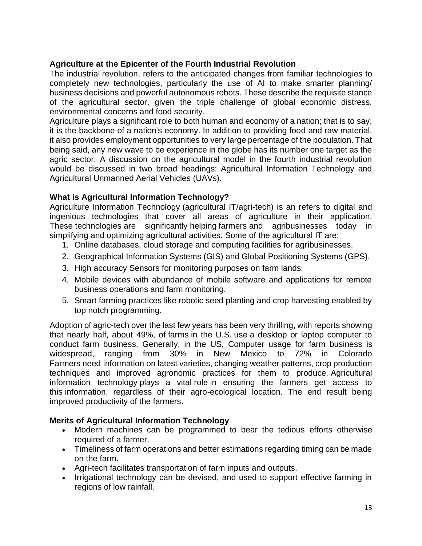# **Agriculture at the Epicenter of the Fourth Industrial Revolution**

The industrial revolution, refers to the anticipated changes from familiar technologies to completely new technologies, particularly the use of AI to make smarter planning/ business decisions and powerful autonomous robots. These describe the requisite stance of the agricultural sector, given the triple challenge of global economic distress, environmental concerns and food security.

Agriculture plays a significant role to both human and economy of a nation; that is to say, it is the backbone of a nation's economy. In addition to providing food and raw material, it also provides employment opportunities to very large percentage of the population. That being said, any new wave to be experience in the globe has its number one target as the agric sector. A discussion on the agricultural model in the fourth industrial revolution would be discussed in two broad headings: Agricultural Information Technology and Agricultural Unmanned Aerial Vehicles (UAVs).

# **What is Agricultural Information Technology?**

Agriculture Information Technology (agricultural IT/agri-tech) is an refers to digital and ingenious technologies that cover all areas of agriculture in their application. These technologies are significantly helping farmers and agribusinesses today in simplifying and optimizing agricultural activities. Some of the agricultural IT are:

- 1. Online databases, cloud storage and computing facilities for agribusinesses.
- 2. Geographical Information Systems (GIS) and Global Positioning Systems (GPS).
- 3. High accuracy Sensors for monitoring purposes on farm lands.
- 4. Mobile devices with abundance of mobile software and applications for remote business operations and farm monitoring.
- 5. Smart farming practices like robotic seed planting and crop harvesting enabled by top notch programming.

Adoption of agric-tech over the last few years has been very thrilling, with reports showing that nearly half, about 49%, of farms in the U.S. use a desktop or laptop computer to conduct farm business. Generally, in the US, Computer usage for farm business is widespread, ranging from 30% in New Mexico to 72% in Colorado Farmers need information on latest varieties, changing weather patterns, crop production techniques and improved agronomic practices for them to produce. Agricultural information technology plays a vital role in ensuring the farmers get access to this information, regardless of their agro-ecological location. The end result being improved productivity of the farmers.

# **Merits of Agricultural Information Technology**

- Modern machines can be programmed to bear the tedious efforts otherwise required of a farmer.
- Timeliness of farm operations and better estimations regarding timing can be made on the farm.
- Agri-tech facilitates transportation of farm inputs and outputs.
- Irrigational technology can be devised, and used to support effective farming in regions of low rainfall.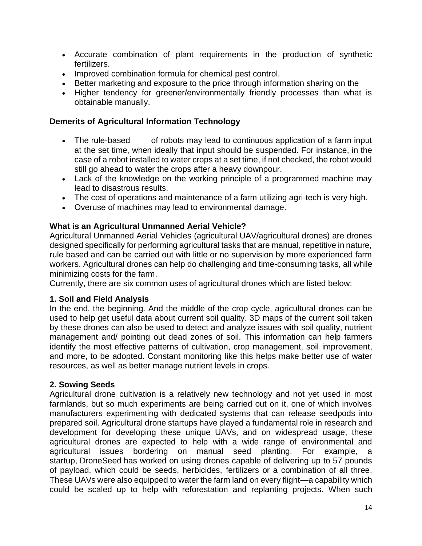- Accurate combination of plant requirements in the production of synthetic fertilizers.
- Improved combination formula for chemical pest control.
- Better marketing and exposure to the price through information sharing on the
- Higher tendency for greener/environmentally friendly processes than what is obtainable manually.

# **Demerits of Agricultural Information Technology**

- The rule-based of robots may lead to continuous application of a farm input at the set time, when ideally that input should be suspended. For instance, in the case of a robot installed to water crops at a set time, if not checked, the robot would still go ahead to water the crops after a heavy downpour.
- Lack of the knowledge on the working principle of a programmed machine may lead to disastrous results.
- The cost of operations and maintenance of a farm utilizing agri-tech is very high.
- Overuse of machines may lead to environmental damage.

### **What is an Agricultural Unmanned Aerial Vehicle?**

Agricultural Unmanned Aerial Vehicles (agricultural UAV/agricultural drones) are drones designed specifically for performing agricultural tasks that are manual, repetitive in nature, rule based and can be carried out with little or no supervision by more experienced farm workers. Agricultural drones can help do challenging and time-consuming tasks, all while minimizing costs for the farm.

Currently, there are six common uses of agricultural drones which are listed below:

# **1. Soil and Field Analysis**

In the end, the beginning. And the middle of the crop cycle, agricultural drones can be used to help get useful data about current soil quality. 3D maps of the current soil taken by these drones can also be used to detect and analyze issues with soil quality, nutrient management and/ pointing out dead zones of soil. This information can help farmers identify the most effective patterns of cultivation, crop management, soil improvement, and more, to be adopted. Constant monitoring like this helps make better use of water resources, as well as better manage nutrient levels in crops.

# **2. Sowing Seeds**

Agricultural drone cultivation is a relatively new technology and not yet used in most farmlands, but so much experiments are being carried out on it, one of which involves manufacturers experimenting with dedicated systems that can release seedpods into prepared soil. Agricultural drone startups have played a fundamental role in research and development for developing these unique UAVs, and on widespread usage, these agricultural drones are expected to help with a wide range of environmental and agricultural issues bordering on manual seed planting. For example, a startup, [DroneSeed](https://www.droneseed.com/) has worked on using drones capable of delivering up to 57 pounds of payload, which could be seeds, herbicides, fertilizers or a combination of all three. These UAVs were also equipped to water the farm land on every flight—a capability which could be scaled up to help with reforestation and replanting projects. When such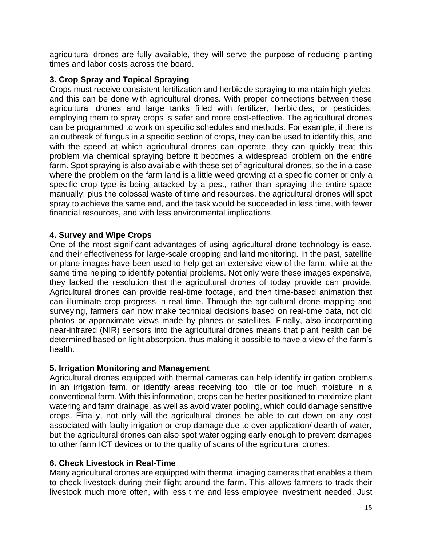agricultural drones are fully available, they will serve the purpose of reducing planting times and labor costs across the board.

### **3. Crop Spray and Topical Spraying**

Crops must receive consistent fertilization and herbicide spraying to maintain high yields, and this can be done with agricultural drones. With proper connections between these agricultural drones and large tanks filled with fertilizer, herbicides, or pesticides, employing them to spray crops is safer and more cost-effective. The agricultural drones can be programmed to work on specific schedules and methods. For example, if there is an outbreak of fungus in a specific section of crops, they can be used to identify this, and with the speed at which agricultural drones can operate, they can quickly treat this problem via chemical spraying before it becomes a widespread problem on the entire farm. Spot spraying is also available with these set of agricultural drones, so the in a case where the problem on the farm land is a little weed growing at a specific corner or only a specific crop type is being attacked by a pest, rather than spraying the entire space manually; plus the colossal waste of time and resources, the agricultural drones will spot spray to achieve the same end, and the task would be succeeded in less time, with fewer financial resources, and with less environmental implications.

### **4. Survey and Wipe Crops**

One of the most significant advantages of using agricultural drone technology is ease, and their effectiveness for large-scale cropping and land monitoring. In the past, satellite or plane images have been used to help get an extensive view of the farm, while at the same time helping to identify potential problems. Not only were these images expensive, they lacked the resolution that the agricultural drones of today provide can provide. Agricultural drones can provide real-time footage, and then time-based animation that can illuminate crop progress in real-time. Through the agricultural drone mapping and surveying, farmers can now make technical decisions based on real-time data, not old photos or approximate views made by planes or satellites. Finally, also incorporating near-infrared (NIR) sensors into the agricultural drones means that plant health can be determined based on light absorption, thus making it possible to have a view of the farm's health.

### **5. Irrigation Monitoring and Management**

Agricultural drones equipped with thermal cameras can help identify irrigation problems in an irrigation farm, or identify areas receiving too little or too much moisture in a conventional farm. With this information, crops can be better positioned to maximize plant watering and farm drainage, as well as avoid water pooling, which could damage sensitive crops. Finally, not only will the agricultural drones be able to cut down on any cost associated with faulty irrigation or crop damage due to over application/ dearth of water, but the agricultural drones can also spot waterlogging early enough to prevent damages to other farm ICT devices or to the quality of scans of the agricultural drones.

### **6. Check Livestock in Real-Time**

Many agricultural drones are equipped with thermal imaging cameras that enables a them to check livestock during their flight around the farm. This allows farmers to track their livestock much more often, with less time and less employee investment needed. Just